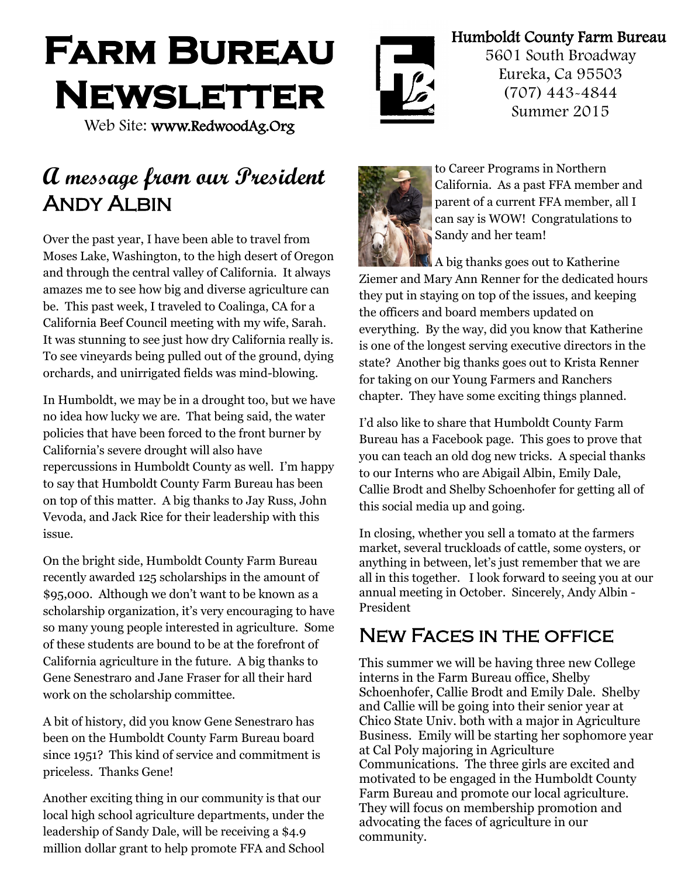# **Farm Bureau Newsletter**

Web Site: www.RedwoodAg.Org

# **A message from our President ANDY ALBIN**

Over the past year, I have been able to travel from Moses Lake, Washington, to the high desert of Oregon and through the central valley of California. It always amazes me to see how big and diverse agriculture can be. This past week, I traveled to Coalinga, CA for a California Beef Council meeting with my wife, Sarah. It was stunning to see just how dry California really is. To see vineyards being pulled out of the ground, dying orchards, and unirrigated fields was mind-blowing.

In Humboldt, we may be in a drought too, but we have no idea how lucky we are. That being said, the water policies that have been forced to the front burner by California's severe drought will also have repercussions in Humboldt County as well. I'm happy to say that Humboldt County Farm Bureau has been on top of this matter. A big thanks to Jay Russ, John Vevoda, and Jack Rice for their leadership with this issue.

On the bright side, Humboldt County Farm Bureau recently awarded 125 scholarships in the amount of \$95,000. Although we don't want to be known as a scholarship organization, it's very encouraging to have so many young people interested in agriculture. Some of these students are bound to be at the forefront of California agriculture in the future. A big thanks to Gene Senestraro and Jane Fraser for all their hard work on the scholarship committee.

A bit of history, did you know Gene Senestraro has been on the Humboldt County Farm Bureau board since 1951? This kind of service and commitment is priceless. Thanks Gene!

Another exciting thing in our community is that our local high school agriculture departments, under the leadership of Sandy Dale, will be receiving a \$4.9 million dollar grant to help promote FFA and School



Humboldt County Farm Bureau

5601 South Broadway Eureka, Ca 95503 (707) 443-4844 Summer 2015



to Career Programs in Northern California. As a past FFA member and parent of a current FFA member, all I can say is WOW! Congratulations to Sandy and her team!

A big thanks goes out to Katherine Ziemer and Mary Ann Renner for the dedicated hours they put in staying on top of the issues, and keeping the officers and board members updated on everything. By the way, did you know that Katherine is one of the longest serving executive directors in the state? Another big thanks goes out to Krista Renner for taking on our Young Farmers and Ranchers chapter. They have some exciting things planned.

I'd also like to share that Humboldt County Farm Bureau has a Facebook page. This goes to prove that you can teach an old dog new tricks. A special thanks to our Interns who are Abigail Albin, Emily Dale, Callie Brodt and Shelby Schoenhofer for getting all of this social media up and going.

In closing, whether you sell a tomato at the farmers market, several truckloads of cattle, some oysters, or anything in between, let's just remember that we are all in this together. I look forward to seeing you at our annual meeting in October. Sincerely, Andy Albin - President

# New Faces in the office

This summer we will be having three new College interns in the Farm Bureau office, Shelby Schoenhofer, Callie Brodt and Emily Dale. Shelby and Callie will be going into their senior year at Chico State Univ. both with a major in Agriculture Business. Emily will be starting her sophomore year at Cal Poly majoring in Agriculture Communications. The three girls are excited and motivated to be engaged in the Humboldt County Farm Bureau and promote our local agriculture. They will focus on membership promotion and advocating the faces of agriculture in our community.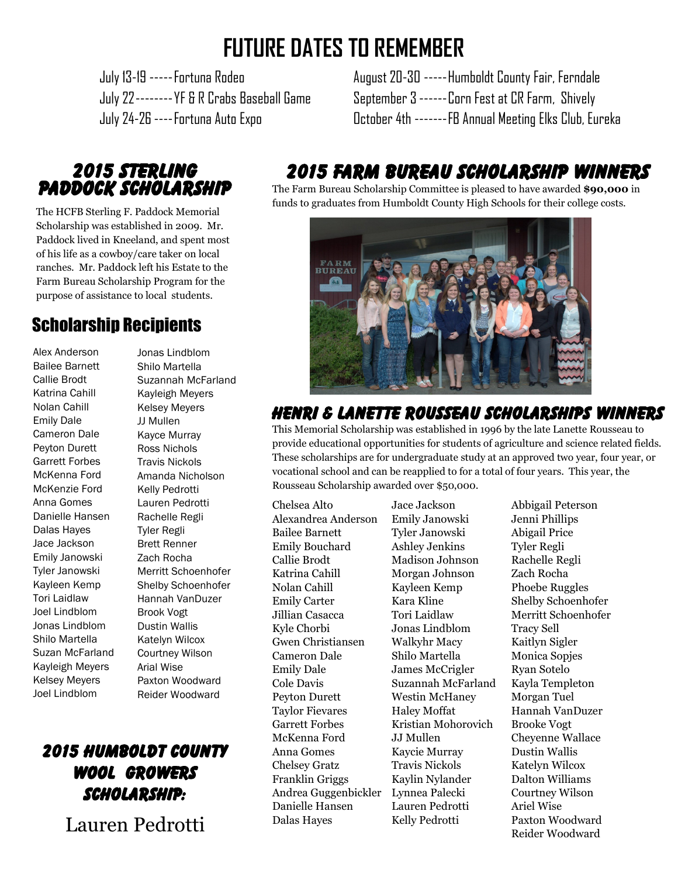# **FUTURE DATES TO REMEMBER**

 July 13-19 -----Fortuna Rodeo August 20-30 -----Humboldt County Fair, Ferndale July 22-------- YF & R Crabs Baseball Game September 3 ------ Corn Fest at CR Farm, Shively July 24-26 ----Fortuna Auto Expo October 4th -------FB Annual Meeting Elks Club, Eureka

### 2015 Sterling Paddock Scholarship

The HCFB Sterling F. Paddock Memorial Scholarship was established in 2009. Mr. Paddock lived in Kneeland, and spent most of his life as a cowboy/care taker on local ranches. Mr. Paddock left his Estate to the Farm Bureau Scholarship Program for the purpose of assistance to local students.

# Scholarship Recipients

Alex Anderson Bailee Barnett Callie Brodt Katrina Cahill Nolan Cahill Emily Dale Cameron Dale Peyton Durett Garrett Forbes McKenna Ford McKenzie Ford Anna Gomes Danielle Hansen Dalas Hayes Jace Jackson Emily Janowski Tyler Janowski Kayleen Kemp Tori Laidlaw Joel Lindblom Jonas Lindblom Shilo Martella Suzan McFarland Kayleigh Meyers Kelsey Meyers Joel Lindblom

Jonas Lindblom Shilo Martella Suzannah McFarland Kayleigh Meyers Kelsey Meyers JJ Mullen Kayce Murray Ross Nichols Travis Nickols Amanda Nicholson Kelly Pedrotti Lauren Pedrotti Rachelle Regli Tyler Regli Brett Renner Zach Rocha Merritt Schoenhofer Shelby Schoenhofer Hannah VanDuzer Brook Vogt Dustin Wallis Katelyn Wilcox Courtney Wilson Arial Wise Paxton Woodward Reider Woodward

# 2015 Humboldt County Wool Growers Scholarship:

Lauren Pedrotti

# 2015 Farm Bureau Scholarship Winners

The Farm Bureau Scholarship Committee is pleased to have awarded **\$90,000** in funds to graduates from Humboldt County High Schools for their college costs.



### $\overline{a}$ Henri & Lanette Rousseau Scholarships Winners

This Memorial Scholarship was established in 1996 by the late Lanette Rousseau to provide educational opportunities for students of agriculture and science related fields. These scholarships are for undergraduate study at an approved two year, four year, or vocational school and can be reapplied to for a total of four years. This year, the Rousseau Scholarship awarded over \$50,000.

Chelsea Alto Jace Jackson Abbigail Peterson Alexandrea Anderson Emily Janowski Jenni Phillips Bailee Barnett Tyler Janowski Abigail Price Emily Bouchard Ashley Jenkins Tyler Regli Callie Brodt Madison Johnson Rachelle Regli Katrina Cahill Morgan Johnson Zach Rocha Nolan Cahill Kayleen Kemp Phoebe Ruggles Emily Carter Kara Kline Shelby Schoenhofer Jillian Casacca Tori Laidlaw Merritt Schoenhofer Kyle Chorbi Jonas Lindblom Tracy Sell Gwen Christiansen Walkyhr Macy Kaitlyn Sigler Cameron Dale Shilo Martella Monica Sopjes Emily Dale James McCrigler Ryan Sotelo Cole Davis Suzannah McFarland Kayla Templeton Peyton Durett Westin McHaney Morgan Tuel Taylor Fievares Haley Moffat Hannah VanDuzer Garrett Forbes Kristian Mohorovich Brooke Vogt McKenna Ford JJ Mullen Cheyenne Wallace Anna Gomes Kaycie Murray Dustin Wallis Chelsey Gratz Travis Nickols Katelyn Wilcox Franklin Griggs Kaylin Nylander Dalton Williams Andrea Guggenbickler Lynnea Palecki Courtney Wilson Danielle Hansen Lauren Pedrotti Ariel Wise Dalas Hayes Kelly Pedrotti Paxton Woodward

Reider Woodward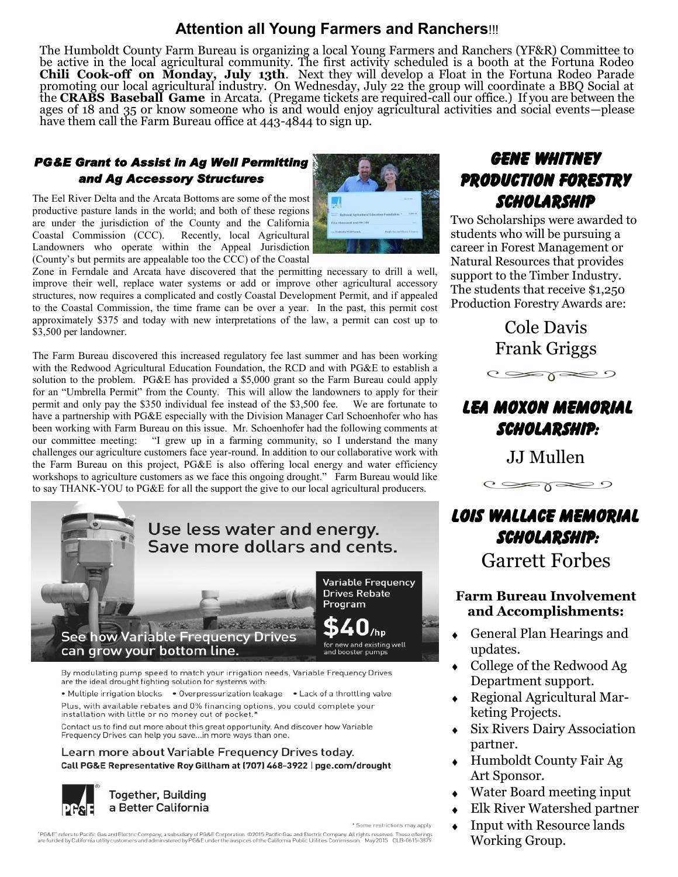#### **Attention all Young Farmers and Ranchers**!!!

The Humboldt County Farm Bureau is organizing a local Young Farmers and Ranchers (YF&R) Committee to be active in the local agricultural community. The first activity scheduled is a booth at the Fortuna Rodeo **Chili Cook-off on Monday, July 13th**. Next they will develop a Float in the Fortuna Rodeo Parade promoting our local agricultural industry. On Wednesday, July 22 the group will coordinate a BBQ Social at the **CRABS Baseball Game** in Arcata. (Pregame tickets are required-call our office.) If you are between the ages of 18 and 35 or know someone who is and would enjoy agricultural activities and social events—please have them call the Farm Bureau office at 443-4844 to sign up.

#### *PG&E Grant to Assist in Ag Well Permitting and Ag Accessory Structures*

The Eel River Delta and the Arcata Bottoms are some of the most productive pasture lands in the world; and both of these regions are under the jurisdiction of the County and the California Coastal Commission (CCC). Recently, local Agricultural Landowners who operate within the Appeal Jurisdiction (County's but permits are appealable too the CCC) of the Coastal

Zone in Ferndale and Arcata have discovered that the permitting necessary to drill a well, improve their well, replace water systems or add or improve other agricultural accessory structures, now requires a complicated and costly Coastal Development Permit, and if appealed to the Coastal Commission, the time frame can be over a year. In the past, this permit cost approximately \$375 and today with new interpretations of the law, a permit can cost up to \$3,500 per landowner.

The Farm Bureau discovered this increased regulatory fee last summer and has been working with the Redwood Agricultural Education Foundation, the RCD and with PG&E to establish a solution to the problem. PG&E has provided a \$5,000 grant so the Farm Bureau could apply for an "Umbrella Permit" from the County. This will allow the landowners to apply for their permit and only pay the \$350 individual fee instead of the \$3,500 fee. We are fortunate to have a partnership with PG&E especially with the Division Manager Carl Schoenhofer who has been working with Farm Bureau on this issue. Mr. Schoenhofer had the following comments at our committee meeting: "I grew up in a farming community, so I understand the many "I grew up in a farming community, so I understand the many challenges our agriculture customers face year-round. In addition to our collaborative work with the Farm Bureau on this project, PG&E is also offering local energy and water efficiency workshops to agriculture customers as we face this ongoing drought." Farm Bureau would like to say THANK-YOU to PG&E for all the support the give to our local agricultural producers.



• Multiple irrigation blocks • Overpressurization leakage • Lack of a throttling valve Plus, with available rebates and 0% financing options, you could complete your installation with little or no money out of pocket.'

Contact us to find out more about this great opportunity. And discover how Variable Frequency Drives can help you save...in more ways than one.

#### Learn more about Variable Frequency Drives today. Call PG&E Representative Roy Gillham at (707) 468-3922 | pge.com/drought



\* Some restrictions may apply

"PG&E" refers to Pacific Gas and Electric Company, a subsidiary of PG&E Corporation. ©2015 Pacific Gas and Electric Company, All rights reserved. These offerings<br>are funded by California utility customers and administered

# Gene Whitney Production Forestry Scholarship

Two Scholarships were awarded to students who will be pursuing a career in Forest Management or Natural Resources that provides support to the Timber Industry. The students that receive \$1,250 Production Forestry Awards are:

> Cole Davis Frank Griggs  $C \gg \gamma \gg 0$

# Lea Moxon Memorial Scholarship:

JJ Mullen



# Lois Wallace Memorial Scholarship:

Garrett Forbes

#### **Farm Bureau Involvement and Accomplishments:**

- General Plan Hearings and  $\ddot{\bullet}$ updates.
- College of the Redwood Ag Department support.
- Regional Agricultural Marketing Projects.
- Six Rivers Dairy Association partner.
- Humboldt County Fair Ag Art Sponsor.
- Water Board meeting input
- Elk River Watershed partner
- Input with Resource lands Working Group.